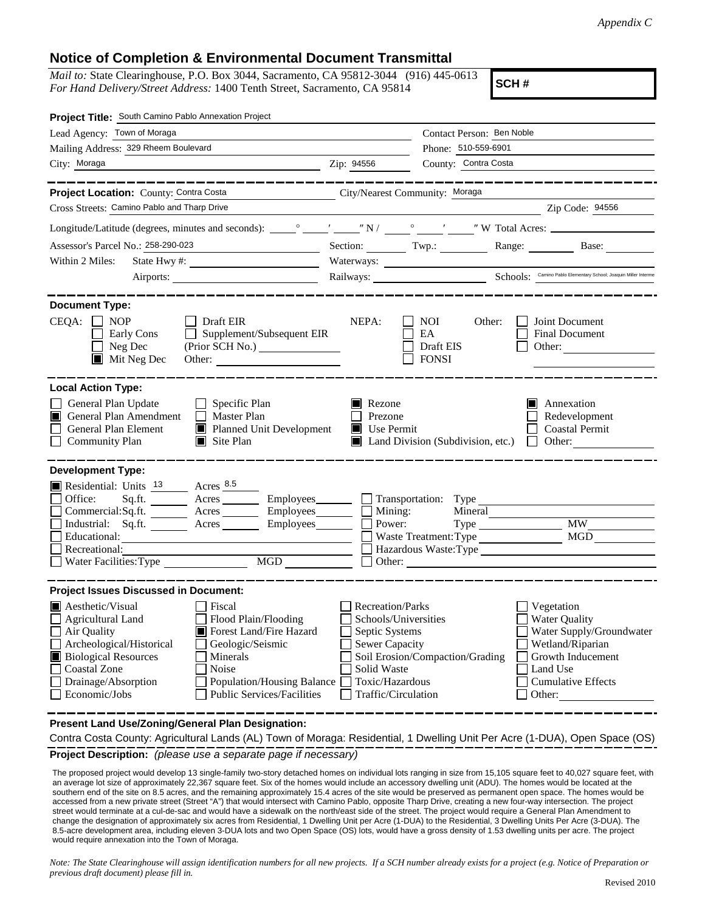## **Notice of Completion & Environmental Document Transmittal**

*Mail to:* State Clearinghouse, P.O. Box 3044, Sacramento, CA 95812-3044 (916) 445-0613 *For Hand Delivery/Street Address:* 1400 Tenth Street, Sacramento, CA 95814

**SCH #**

| Project Title: South Camino Pablo Annexation Project                                                                                                                                                                                                                                                                                                                                                                                 |                                                                                                                                                     |                                                                        |                                                                                                                                                            |  |
|--------------------------------------------------------------------------------------------------------------------------------------------------------------------------------------------------------------------------------------------------------------------------------------------------------------------------------------------------------------------------------------------------------------------------------------|-----------------------------------------------------------------------------------------------------------------------------------------------------|------------------------------------------------------------------------|------------------------------------------------------------------------------------------------------------------------------------------------------------|--|
| Lead Agency: Town of Moraga                                                                                                                                                                                                                                                                                                                                                                                                          |                                                                                                                                                     | Contact Person: Ben Noble                                              |                                                                                                                                                            |  |
| Mailing Address: 329 Rheem Boulevard                                                                                                                                                                                                                                                                                                                                                                                                 | Phone: 510-559-6901                                                                                                                                 |                                                                        |                                                                                                                                                            |  |
| Zip: 94556<br>City: Moraga                                                                                                                                                                                                                                                                                                                                                                                                           |                                                                                                                                                     | County: Contra Costa                                                   |                                                                                                                                                            |  |
| Project Location: County: Contra Costa<br>City/Nearest Community: Moraga                                                                                                                                                                                                                                                                                                                                                             |                                                                                                                                                     |                                                                        |                                                                                                                                                            |  |
| Cross Streets: Camino Pablo and Tharp Drive                                                                                                                                                                                                                                                                                                                                                                                          |                                                                                                                                                     |                                                                        | $\chi$ Zip Code: 94556                                                                                                                                     |  |
|                                                                                                                                                                                                                                                                                                                                                                                                                                      |                                                                                                                                                     |                                                                        |                                                                                                                                                            |  |
| Assessor's Parcel No.: 258-290-023                                                                                                                                                                                                                                                                                                                                                                                                   |                                                                                                                                                     |                                                                        | Section: Twp.: Range: Base:                                                                                                                                |  |
| Within 2 Miles:                                                                                                                                                                                                                                                                                                                                                                                                                      | Waterways:                                                                                                                                          |                                                                        |                                                                                                                                                            |  |
|                                                                                                                                                                                                                                                                                                                                                                                                                                      |                                                                                                                                                     |                                                                        | Railways: <u>Camino Pablo Elementary School; Joaquin Miller Interme</u>                                                                                    |  |
|                                                                                                                                                                                                                                                                                                                                                                                                                                      |                                                                                                                                                     |                                                                        |                                                                                                                                                            |  |
| <b>Document Type:</b><br>$CEQA: \Box NP$<br>$\Box$ Draft EIR<br>$\Box$ Supplement/Subsequent EIR<br><b>Early Cons</b><br>$\Box$ Neg Dec<br>Mit Neg Dec<br>Other:                                                                                                                                                                                                                                                                     | NEPA:                                                                                                                                               | $\blacksquare$ NOI<br>Other:<br><b>EA</b><br>Draft EIS<br>$\Box$ FONSI | Joint Document<br><b>Final Document</b><br>Other:                                                                                                          |  |
| <b>Local Action Type:</b><br>General Plan Update<br>Specific Plan<br>General Plan Amendment<br>$\Box$ Master Plan<br>General Plan Element<br>Planned Unit Development<br><b>Community Plan</b><br>$\Box$ Site Plan                                                                                                                                                                                                                   | Rezone<br>Prezone<br>$\blacksquare$ Use Permit                                                                                                      | Land Division (Subdivision, etc.)                                      | $\blacksquare$ Annexation<br>Redevelopment<br><b>Coastal Permit</b><br>$\Box$ Other:                                                                       |  |
| <b>Development Type:</b><br>Residential: Units 13 Acres 8.5<br>Sq.ft. _________ Acres __________ Employees ________ $\Box$<br>Office:<br>Commercial:Sq.ft. <u>Acres</u> Acres Employees<br>Industrial: Sq.ft. <u>Acres</u> Acres Employees<br>Educational:<br>Recreational:<br>MGD<br>Water Facilities: Type                                                                                                                         | Mining:<br>$\Box$<br>Power:                                                                                                                         | Transportation: Type<br>Mineral<br>Other:                              | Type MW_<br>Hazardous Waste:Type                                                                                                                           |  |
| <b>Project Issues Discussed in Document:</b><br><b>A</b> esthetic/Visual<br>Fiscal<br>Flood Plain/Flooding<br>$\Box$ Agricultural Land<br>Forest Land/Fire Hazard<br>$\Box$ Air Quality<br>Archeological/Historical<br>Geologic/Seismic<br><b>Biological Resources</b><br>Minerals<br>Coastal Zone<br>Noise<br>Drainage/Absorption<br><b>Population/Housing Balance</b><br><b>Public Services/Facilities</b><br>$\Box$ Economic/Jobs | <b>Recreation/Parks</b><br>Schools/Universities<br>Septic Systems<br><b>Sewer Capacity</b><br>Solid Waste<br>Toxic/Hazardous<br>Traffic/Circulation | Soil Erosion/Compaction/Grading                                        | Vegetation<br><b>Water Quality</b><br>Water Supply/Groundwater<br>Wetland/Riparian<br>Growth Inducement<br>Land Use<br><b>Cumulative Effects</b><br>Other: |  |

**Present Land Use/Zoning/General Plan Designation:**

**Project Description:** *(please use a separate page if necessary)* Contra Costa County: Agricultural Lands (AL) Town of Moraga: Residential, 1 Dwelling Unit Per Acre (1-DUA), Open Space (OS)

 The proposed project would develop 13 single-family two-story detached homes on individual lots ranging in size from 15,105 square feet to 40,027 square feet, with an average lot size of approximately 22,367 square feet. Six of the homes would include an accessory dwelling unit (ADU). The homes would be located at the southern end of the site on 8.5 acres, and the remaining approximately 15.4 acres of the site would be preserved as permanent open space. The homes would be accessed from a new private street (Street "A") that would intersect with Camino Pablo, opposite Tharp Drive, creating a new four-way intersection. The project street would terminate at a cul-de-sac and would have a sidewalk on the north/east side of the street. The project would require a General Plan Amendment to change the designation of approximately six acres from Residential, 1 Dwelling Unit per Acre (1-DUA) to the Residential, 3 Dwelling Units Per Acre (3-DUA). The 8.5-acre development area, including eleven 3-DUA lots and two Open Space (OS) lots, would have a gross density of 1.53 dwelling units per acre. The project would require annexation into the Town of Moraga.

*Note: The State Clearinghouse will assign identification numbers for all new projects. If a SCH number already exists for a project (e.g. Notice of Preparation or previous draft document) please fill in.*